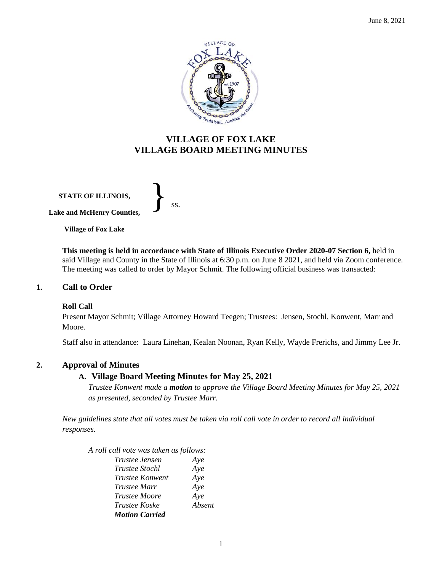

# **VILLAGE OF FOX LAKE VILLAGE BOARD MEETING MINUTES**

**STATE OF ILLINOIS, Lake and McHenry Counties,**  }<br>*ss.* 

**Village of Fox Lake**

**This meeting is held in accordance with State of Illinois Executive Order 2020-07 Section 6,** held in said Village and County in the State of Illinois at 6:30 p.m. on June 8 2021, and held via Zoom conference. The meeting was called to order by Mayor Schmit. The following official business was transacted:

## **1. Call to Order**

## **Roll Call**

Present Mayor Schmit; Village Attorney Howard Teegen; Trustees: Jensen, Stochl, Konwent, Marr and Moore.

Staff also in attendance: Laura Linehan, Kealan Noonan, Ryan Kelly, Wayde Frerichs, and Jimmy Lee Jr.

## **2. Approval of Minutes**

## **A. Village Board Meeting Minutes for May 25, 2021**

*Trustee Konwent made a motion to approve the Village Board Meeting Minutes for May 25, 2021 as presented, seconded by Trustee Marr.* 

*New guidelines state that all votes must be taken via roll call vote in order to record all individual responses.* 

*A roll call vote was taken as follows:* 

| Trustee Jensen        | Aye    |
|-----------------------|--------|
| Trustee Stochl        | Aye    |
| Trustee Konwent       | Aye    |
| Trustee Marr          | Aye    |
| <b>Trustee Moore</b>  | Aye    |
| <i>Trustee Koske</i>  | Absent |
| <b>Motion Carried</b> |        |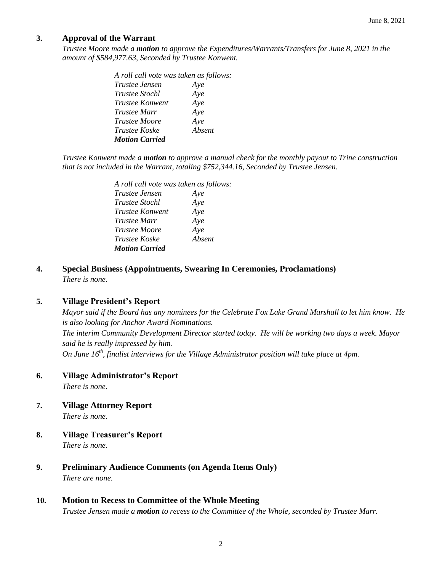## **3. Approval of the Warrant**

*Trustee Moore made a motion to approve the Expenditures/Warrants/Transfers for June 8, 2021 in the amount of \$584,977.63, Seconded by Trustee Konwent.*

| A roll call vote was taken as follows: |        |
|----------------------------------------|--------|
| <i>Trustee Jensen</i>                  | Aye    |
| <i>Trustee Stochl</i>                  | Aye    |
| <i>Trustee Konwent</i>                 | Aye    |
| <i>Trustee Marr</i>                    | Aye    |
| <i>Trustee Moore</i>                   | Aye    |
| <i>Trustee Koske</i>                   | Absent |
| <b>Motion Carried</b>                  |        |

*Trustee Konwent made a motion to approve a manual check for the monthly payout to Trine construction that is not included in the Warrant, totaling \$752,344.16, Seconded by Trustee Jensen.*

| A roll call vote was taken as follows: |        |  |
|----------------------------------------|--------|--|
| <i>Trustee Jensen</i>                  | Aye    |  |
| <i>Trustee Stochl</i>                  | Aye    |  |
| Trustee Konwent                        | Aye    |  |
| <i>Trustee Marr</i>                    | Aye    |  |
| <i>Trustee Moore</i>                   | Aye    |  |
| <i>Trustee Koske</i>                   | Absent |  |
| <b>Motion Carried</b>                  |        |  |

**4. Special Business (Appointments, Swearing In Ceremonies, Proclamations)** *There is none.*

## **5. Village President's Report**

*Mayor said if the Board has any nominees for the Celebrate Fox Lake Grand Marshall to let him know. He is also looking for Anchor Award Nominations. The interim Community Development Director started today. He will be working two days a week. Mayor said he is really impressed by him. On June 16th, finalist interviews for the Village Administrator position will take place at 4pm.* 

**6. Village Administrator's Report**

*There is none.*

**7. Village Attorney Report**

*There is none.*

- **8. Village Treasurer's Report** *There is none.*
- **9. Preliminary Audience Comments (on Agenda Items Only)** *There are none.*
- **10. Motion to Recess to Committee of the Whole Meeting**

*Trustee Jensen made a motion to recess to the Committee of the Whole, seconded by Trustee Marr.*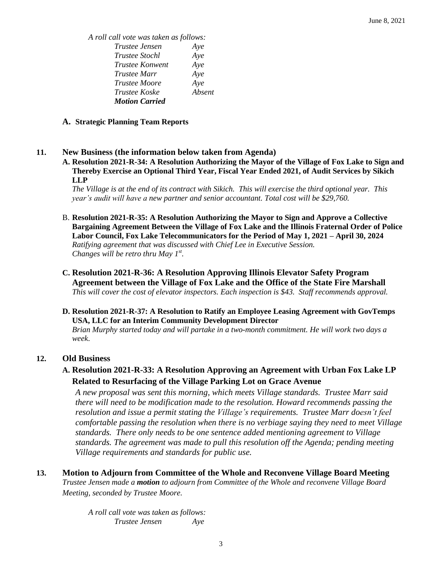*A roll call vote was taken as follows: Trustee Jensen Aye Trustee Stochl Aye Trustee Konwent Aye Trustee Marr Aye Trustee Moore Aye Trustee Koske Absent Motion Carried*

#### **A. Strategic Planning Team Reports**

#### **11. New Business (the information below taken from Agenda)**

**A. Resolution 2021-R-34: A Resolution Authorizing the Mayor of the Village of Fox Lake to Sign and Thereby Exercise an Optional Third Year, Fiscal Year Ended 2021, of Audit Services by Sikich LLP**

*The Village is at the end of its contract with Sikich. This will exercise the third optional year. This year's audit will have a new partner and senior accountant. Total cost will be \$29,760.* 

- B. **Resolution 2021-R-35: A Resolution Authorizing the Mayor to Sign and Approve a Collective Bargaining Agreement Between the Village of Fox Lake and the Illinois Fraternal Order of Police Labor Council, Fox Lake Telecommunicators for the Period of May 1, 2021 – April 30, 2024** *Ratifying agreement that was discussed with Chief Lee in Executive Session. Changes will be retro thru May 1st .*
- **C. Resolution 2021-R-36: A Resolution Approving Illinois Elevator Safety Program Agreement between the Village of Fox Lake and the Office of the State Fire Marshall** *This will cover the cost of elevator inspectors. Each inspection is \$43. Staff recommends approval.*
- **D. Resolution 2021-R-37: A Resolution to Ratify an Employee Leasing Agreement with GovTemps USA, LLC for an Interim Community Development Director**

*Brian Murphy started today and will partake in a two-month commitment. He will work two days a week*.

#### **12. Old Business**

**A. Resolution 2021-R-33: A Resolution Approving an Agreement with Urban Fox Lake LP Related to Resurfacing of the Village Parking Lot on Grace Avenue** 

*A new proposal was sent this morning, which meets Village standards. Trustee Marr said there will need to be modification made to the resolution. Howard recommends passing the resolution and issue a permit stating the Village's requirements. Trustee Marr doesn't feel comfortable passing the resolution when there is no verbiage saying they need to meet Village standards. There only needs to be one sentence added mentioning agreement to Village standards. The agreement was made to pull this resolution off the Agenda; pending meeting Village requirements and standards for public use.* 

**13. Motion to Adjourn from Committee of the Whole and Reconvene Village Board Meeting** *Trustee Jensen made a motion to adjourn from Committee of the Whole and reconvene Village Board Meeting, seconded by Trustee Moore.* 

> *A roll call vote was taken as follows: Trustee Jensen Aye*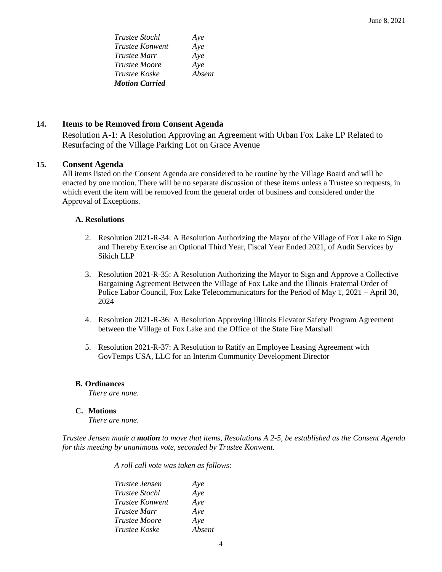| Trustee Stochl         | Aye    |
|------------------------|--------|
| <b>Trustee Konwent</b> | Aye    |
| <i>Trustee Marr</i>    | Aye    |
| <i>Trustee Moore</i>   | Aye    |
| <i>Trustee Koske</i>   | Absent |
| <b>Motion Carried</b>  |        |

## **14. Items to be Removed from Consent Agenda**

Resolution A-1: A Resolution Approving an Agreement with Urban Fox Lake LP Related to Resurfacing of the Village Parking Lot on Grace Avenue

## **15. Consent Agenda**

All items listed on the Consent Agenda are considered to be routine by the Village Board and will be enacted by one motion. There will be no separate discussion of these items unless a Trustee so requests, in which event the item will be removed from the general order of business and considered under the Approval of Exceptions.

#### **A. Resolutions**

- 2. Resolution 2021-R-34: A Resolution Authorizing the Mayor of the Village of Fox Lake to Sign and Thereby Exercise an Optional Third Year, Fiscal Year Ended 2021, of Audit Services by Sikich LLP
- 3. Resolution 2021-R-35: A Resolution Authorizing the Mayor to Sign and Approve a Collective Bargaining Agreement Between the Village of Fox Lake and the Illinois Fraternal Order of Police Labor Council, Fox Lake Telecommunicators for the Period of May 1, 2021 – April 30, 2024
- 4. Resolution 2021-R-36: A Resolution Approving Illinois Elevator Safety Program Agreement between the Village of Fox Lake and the Office of the State Fire Marshall
- 5. Resolution 2021-R-37: A Resolution to Ratify an Employee Leasing Agreement with GovTemps USA, LLC for an Interim Community Development Director

#### **B. Ordinances**

*There are none.*

## **C. Motions**

*There are none.* 

*Trustee Jensen made a motion to move that items, Resolutions A 2-5, be established as the Consent Agenda for this meeting by unanimous vote, seconded by Trustee Konwent.*

*A roll call vote was taken as follows:* 

| <i>Trustee Jensen</i> | Aye    |
|-----------------------|--------|
| Trustee Stochl        | Aye    |
| Trustee Konwent       | Aye    |
| <i>Trustee Marr</i>   | Aye    |
| <i>Trustee Moore</i>  | Aye    |
| Trustee Koske         | Absent |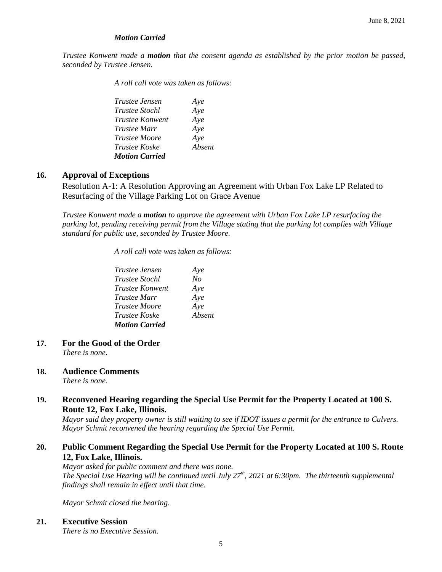## *Motion Carried*

*Trustee Konwent made a motion that the consent agenda as established by the prior motion be passed, seconded by Trustee Jensen.*

*A roll call vote was taken as follows:* 

*Trustee Jensen Aye Trustee Stochl Aye Trustee Konwent Aye Trustee Marr Aye Trustee Moore Aye Trustee Koske Absent Motion Carried* 

## **16. Approval of Exceptions**

Resolution A-1: A Resolution Approving an Agreement with Urban Fox Lake LP Related to Resurfacing of the Village Parking Lot on Grace Avenue

*Trustee Konwent made a motion to approve the agreement with Urban Fox Lake LP resurfacing the parking lot, pending receiving permit from the Village stating that the parking lot complies with Village standard for public use, seconded by Trustee Moore.*

*A roll call vote was taken as follows:* 

| <i>Trustee Jensen</i> | Aye    |
|-----------------------|--------|
| <i>Trustee Stochl</i> | No     |
| Trustee Konwent       | Aye    |
| <i>Trustee Marr</i>   | Aye    |
| <i>Trustee Moore</i>  | Aye    |
| <i>Trustee Koske</i>  | Absent |
| <b>Motion Carried</b> |        |

- **17. For the Good of the Order** *There is none.*
- **18. Audience Comments** *There is none.*

## **19. Reconvened Hearing regarding the Special Use Permit for the Property Located at 100 S. Route 12, Fox Lake, Illinois.**

*Mayor said they property owner is still waiting to see if IDOT issues a permit for the entrance to Culvers. Mayor Schmit reconvened the hearing regarding the Special Use Permit.* 

# **20. Public Comment Regarding the Special Use Permit for the Property Located at 100 S. Route 12, Fox Lake, Illinois.**

*Mayor asked for public comment and there was none. The Special Use Hearing will be continued until July 27th, 2021 at 6:30pm. The thirteenth supplemental findings shall remain in effect until that time.* 

*Mayor Schmit closed the hearing.* 

## **21. Executive Session**

*There is no Executive Session.*